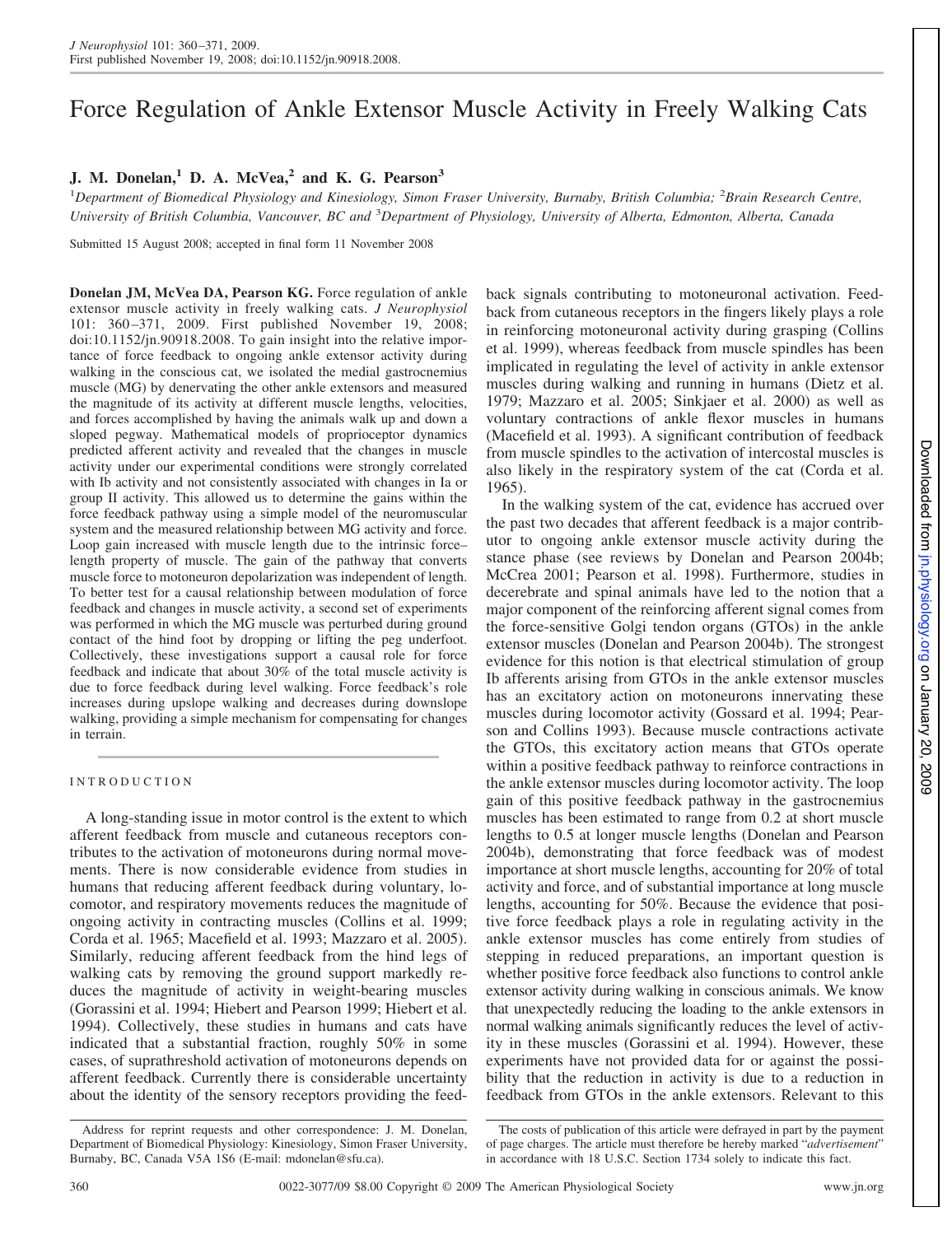# Force Regulation of Ankle Extensor Muscle Activity in Freely Walking Cats

# **J. M. Donelan,<sup>1</sup> D. A. McVea,<sup>2</sup> and K. G. Pearson<sup>3</sup>**

1 *Department of Biomedical Physiology and Kinesiology, Simon Fraser University, Burnaby, British Columbia;* <sup>2</sup> *Brain Research Centre, University of British Columbia, Vancouver, BC and* <sup>3</sup> *Department of Physiology, University of Alberta, Edmonton, Alberta, Canada*

Submitted 15 August 2008; accepted in final form 11 November 2008

**Donelan JM, McVea DA, Pearson KG.** Force regulation of ankle extensor muscle activity in freely walking cats. *J Neurophysiol* 101: 360 –371, 2009. First published November 19, 2008; doi:10.1152/jn.90918.2008. To gain insight into the relative importance of force feedback to ongoing ankle extensor activity during walking in the conscious cat, we isolated the medial gastrocnemius muscle (MG) by denervating the other ankle extensors and measured the magnitude of its activity at different muscle lengths, velocities, and forces accomplished by having the animals walk up and down a sloped pegway. Mathematical models of proprioceptor dynamics predicted afferent activity and revealed that the changes in muscle activity under our experimental conditions were strongly correlated with Ib activity and not consistently associated with changes in Ia or group II activity. This allowed us to determine the gains within the force feedback pathway using a simple model of the neuromuscular system and the measured relationship between MG activity and force. Loop gain increased with muscle length due to the intrinsic force– length property of muscle. The gain of the pathway that converts muscle force to motoneuron depolarization was independent of length. To better test for a causal relationship between modulation of force feedback and changes in muscle activity, a second set of experiments was performed in which the MG muscle was perturbed during ground contact of the hind foot by dropping or lifting the peg underfoot. Collectively, these investigations support a causal role for force feedback and indicate that about 30% of the total muscle activity is due to force feedback during level walking. Force feedback's role increases during upslope walking and decreases during downslope walking, providing a simple mechanism for compensating for changes in terrain.

## INTRODUCTION

A long-standing issue in motor control is the extent to which afferent feedback from muscle and cutaneous receptors contributes to the activation of motoneurons during normal movements. There is now considerable evidence from studies in humans that reducing afferent feedback during voluntary, locomotor, and respiratory movements reduces the magnitude of ongoing activity in contracting muscles (Collins et al. 1999; Corda et al. 1965; Macefield et al. 1993; Mazzaro et al. 2005). Similarly, reducing afferent feedback from the hind legs of walking cats by removing the ground support markedly reduces the magnitude of activity in weight-bearing muscles (Gorassini et al. 1994; Hiebert and Pearson 1999; Hiebert et al. 1994). Collectively, these studies in humans and cats have indicated that a substantial fraction, roughly 50% in some cases, of suprathreshold activation of motoneurons depends on afferent feedback. Currently there is considerable uncertainty about the identity of the sensory receptors providing the feedback signals contributing to motoneuronal activation. Feedback from cutaneous receptors in the fingers likely plays a role in reinforcing motoneuronal activity during grasping (Collins et al. 1999), whereas feedback from muscle spindles has been implicated in regulating the level of activity in ankle extensor muscles during walking and running in humans (Dietz et al. 1979; Mazzaro et al. 2005; Sinkjaer et al. 2000) as well as voluntary contractions of ankle flexor muscles in humans (Macefield et al. 1993). A significant contribution of feedback from muscle spindles to the activation of intercostal muscles is also likely in the respiratory system of the cat (Corda et al. 1965).

In the walking system of the cat, evidence has accrued over the past two decades that afferent feedback is a major contributor to ongoing ankle extensor muscle activity during the stance phase (see reviews by Donelan and Pearson 2004b; McCrea 2001; Pearson et al. 1998). Furthermore, studies in decerebrate and spinal animals have led to the notion that a major component of the reinforcing afferent signal comes from the force-sensitive Golgi tendon organs (GTOs) in the ankle extensor muscles (Donelan and Pearson 2004b). The strongest evidence for this notion is that electrical stimulation of group Ib afferents arising from GTOs in the ankle extensor muscles has an excitatory action on motoneurons innervating these muscles during locomotor activity (Gossard et al. 1994; Pearson and Collins 1993). Because muscle contractions activate the GTOs, this excitatory action means that GTOs operate within a positive feedback pathway to reinforce contractions in the ankle extensor muscles during locomotor activity. The loop gain of this positive feedback pathway in the gastrocnemius muscles has been estimated to range from 0.2 at short muscle lengths to 0.5 at longer muscle lengths (Donelan and Pearson 2004b), demonstrating that force feedback was of modest importance at short muscle lengths, accounting for 20% of total activity and force, and of substantial importance at long muscle lengths, accounting for 50%. Because the evidence that positive force feedback plays a role in regulating activity in the ankle extensor muscles has come entirely from studies of stepping in reduced preparations, an important question is whether positive force feedback also functions to control ankle extensor activity during walking in conscious animals. We know that unexpectedly reducing the loading to the ankle extensors in normal walking animals significantly reduces the level of activity in these muscles (Gorassini et al. 1994). However, these experiments have not provided data for or against the possibility that the reduction in activity is due to a reduction in feedback from GTOs in the ankle extensors. Relevant to this

Address for reprint requests and other correspondence: J. M. Donelan, Department of Biomedical Physiology: Kinesiology, Simon Fraser University, Burnaby, BC, Canada V5A 1S6 (E-mail: mdonelan@sfu.ca).

Downloaded from jn.physiology.org on January 20, 2009 Downloadedfrom [jn.physiology.org](http://jn.physiology.org) on January 20, 2009

The costs of publication of this article were defrayed in part by the payment of page charges. The article must therefore be hereby marked "*advertisement*" in accordance with 18 U.S.C. Section 1734 solely to indicate this fact.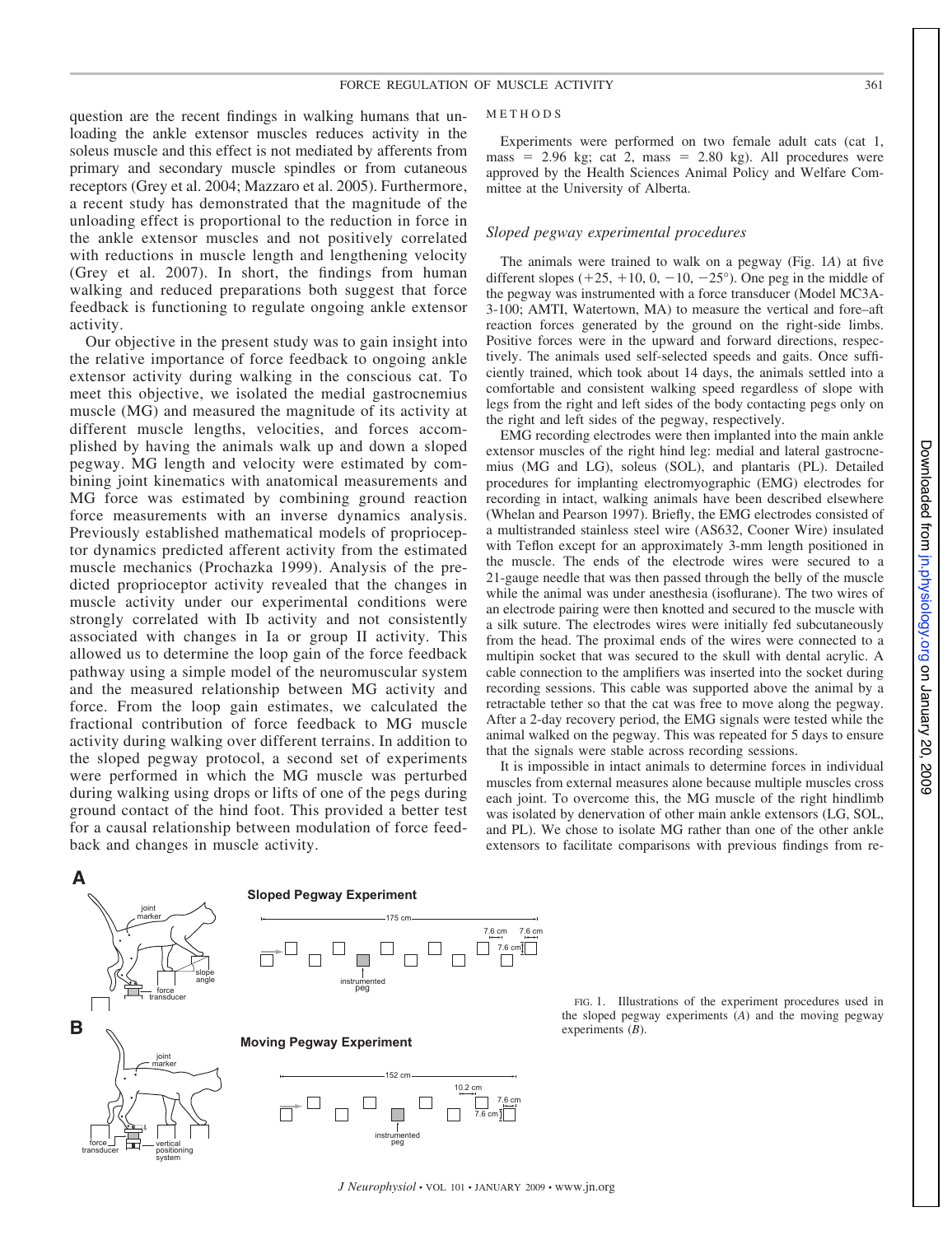question are the recent findings in walking humans that unloading the ankle extensor muscles reduces activity in the soleus muscle and this effect is not mediated by afferents from primary and secondary muscle spindles or from cutaneous receptors (Grey et al. 2004; Mazzaro et al. 2005). Furthermore, a recent study has demonstrated that the magnitude of the unloading effect is proportional to the reduction in force in the ankle extensor muscles and not positively correlated with reductions in muscle length and lengthening velocity (Grey et al. 2007). In short, the findings from human walking and reduced preparations both suggest that force feedback is functioning to regulate ongoing ankle extensor activity.

Our objective in the present study was to gain insight into the relative importance of force feedback to ongoing ankle extensor activity during walking in the conscious cat. To meet this objective, we isolated the medial gastrocnemius muscle (MG) and measured the magnitude of its activity at different muscle lengths, velocities, and forces accomplished by having the animals walk up and down a sloped pegway. MG length and velocity were estimated by combining joint kinematics with anatomical measurements and MG force was estimated by combining ground reaction force measurements with an inverse dynamics analysis. Previously established mathematical models of proprioceptor dynamics predicted afferent activity from the estimated muscle mechanics (Prochazka 1999). Analysis of the predicted proprioceptor activity revealed that the changes in muscle activity under our experimental conditions were strongly correlated with Ib activity and not consistently associated with changes in Ia or group II activity. This allowed us to determine the loop gain of the force feedback pathway using a simple model of the neuromuscular system and the measured relationship between MG activity and force. From the loop gain estimates, we calculated the fractional contribution of force feedback to MG muscle activity during walking over different terrains. In addition to the sloped pegway protocol, a second set of experiments were performed in which the MG muscle was perturbed during walking using drops or lifts of one of the pegs during ground contact of the hind foot. This provided a better test for a causal relationship between modulation of force feedback and changes in muscle activity.

#### METHODS

Experiments were performed on two female adult cats (cat 1,  $mass = 2.96$  kg; cat 2, mass  $= 2.80$  kg). All procedures were approved by the Health Sciences Animal Policy and Welfare Committee at the University of Alberta.

#### *Sloped pegway experimental procedures*

The animals were trained to walk on a pegway (Fig. 1*A*) at five different slopes  $(+25, +10, 0, -10, -25)$ . One peg in the middle of the pegway was instrumented with a force transducer (Model MC3A-3-100; AMTI, Watertown, MA) to measure the vertical and fore–aft reaction forces generated by the ground on the right-side limbs. Positive forces were in the upward and forward directions, respectively. The animals used self-selected speeds and gaits. Once sufficiently trained, which took about 14 days, the animals settled into a comfortable and consistent walking speed regardless of slope with legs from the right and left sides of the body contacting pegs only on the right and left sides of the pegway, respectively.

EMG recording electrodes were then implanted into the main ankle extensor muscles of the right hind leg: medial and lateral gastrocnemius (MG and LG), soleus (SOL), and plantaris (PL). Detailed procedures for implanting electromyographic (EMG) electrodes for recording in intact, walking animals have been described elsewhere (Whelan and Pearson 1997). Briefly, the EMG electrodes consisted of a multistranded stainless steel wire (AS632, Cooner Wire) insulated with Teflon except for an approximately 3-mm length positioned in the muscle. The ends of the electrode wires were secured to a 21-gauge needle that was then passed through the belly of the muscle while the animal was under anesthesia (isoflurane). The two wires of an electrode pairing were then knotted and secured to the muscle with a silk suture. The electrodes wires were initially fed subcutaneously from the head. The proximal ends of the wires were connected to a multipin socket that was secured to the skull with dental acrylic. A cable connection to the amplifiers was inserted into the socket during recording sessions. This cable was supported above the animal by a retractable tether so that the cat was free to move along the pegway. After a 2-day recovery period, the EMG signals were tested while the animal walked on the pegway. This was repeated for 5 days to ensure that the signals were stable across recording sessions.

It is impossible in intact animals to determine forces in individual muscles from external measures alone because multiple muscles cross each joint. To overcome this, the MG muscle of the right hindlimb was isolated by denervation of other main ankle extensors (LG, SOL, and PL). We chose to isolate MG rather than one of the other ankle extensors to facilitate comparisons with previous findings from re-



FIG. 1. Illustrations of the experiment procedures used in the sloped pegway experiments (*A*) and the moving pegway experiments (*B*).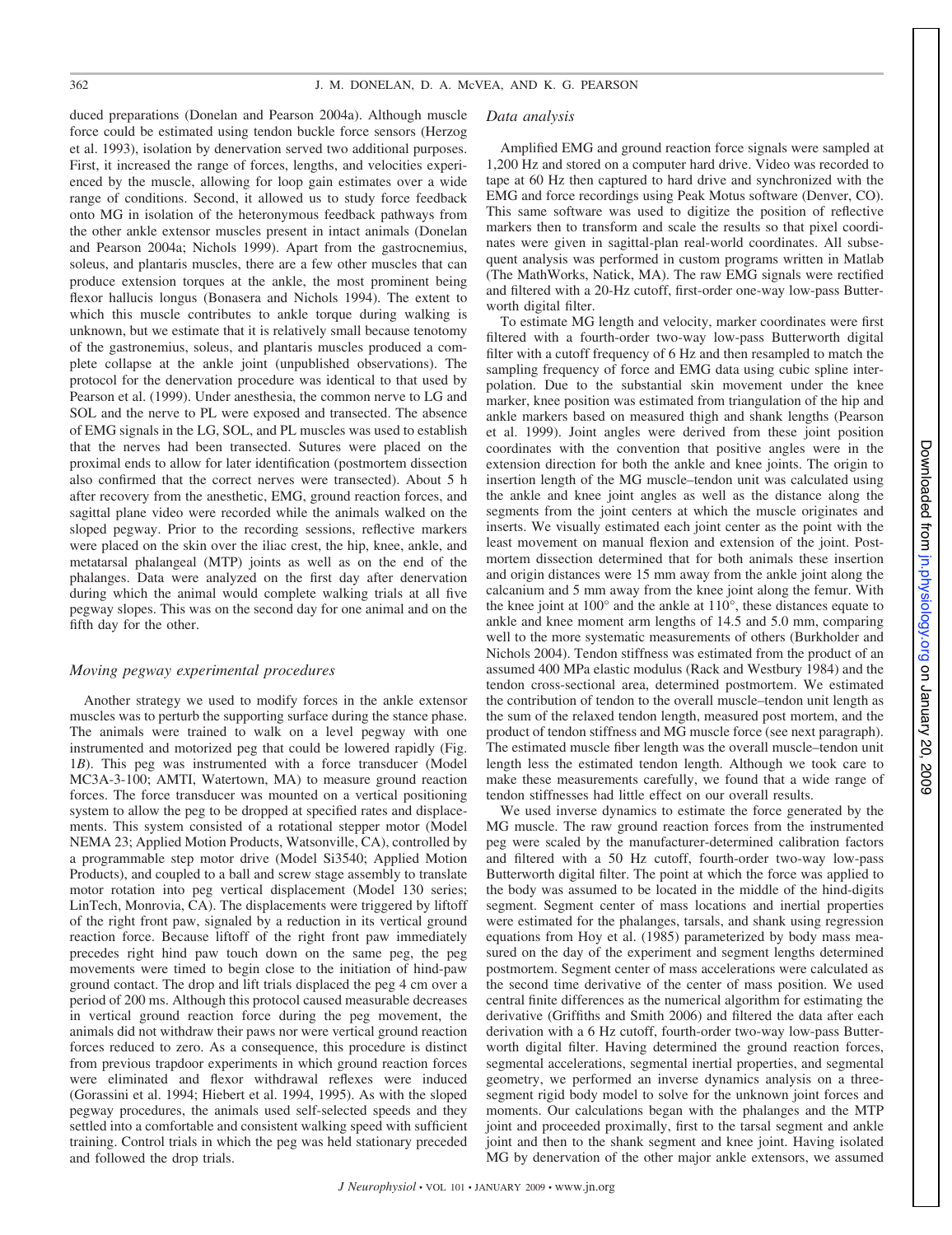duced preparations (Donelan and Pearson 2004a). Although muscle force could be estimated using tendon buckle force sensors (Herzog et al. 1993), isolation by denervation served two additional purposes. First, it increased the range of forces, lengths, and velocities experienced by the muscle, allowing for loop gain estimates over a wide range of conditions. Second, it allowed us to study force feedback onto MG in isolation of the heteronymous feedback pathways from the other ankle extensor muscles present in intact animals (Donelan and Pearson 2004a; Nichols 1999). Apart from the gastrocnemius, soleus, and plantaris muscles, there are a few other muscles that can produce extension torques at the ankle, the most prominent being flexor hallucis longus (Bonasera and Nichols 1994). The extent to which this muscle contributes to ankle torque during walking is unknown, but we estimate that it is relatively small because tenotomy of the gastronemius, soleus, and plantaris muscles produced a complete collapse at the ankle joint (unpublished observations). The protocol for the denervation procedure was identical to that used by Pearson et al. (1999). Under anesthesia, the common nerve to LG and SOL and the nerve to PL were exposed and transected. The absence of EMG signals in the LG, SOL, and PL muscles was used to establish that the nerves had been transected. Sutures were placed on the proximal ends to allow for later identification (postmortem dissection also confirmed that the correct nerves were transected). About 5 h after recovery from the anesthetic, EMG, ground reaction forces, and sagittal plane video were recorded while the animals walked on the sloped pegway. Prior to the recording sessions, reflective markers were placed on the skin over the iliac crest, the hip, knee, ankle, and metatarsal phalangeal (MTP) joints as well as on the end of the phalanges. Data were analyzed on the first day after denervation during which the animal would complete walking trials at all five pegway slopes. This was on the second day for one animal and on the fifth day for the other.

#### *Moving pegway experimental procedures*

Another strategy we used to modify forces in the ankle extensor muscles was to perturb the supporting surface during the stance phase. The animals were trained to walk on a level pegway with one instrumented and motorized peg that could be lowered rapidly (Fig. 1*B*). This peg was instrumented with a force transducer (Model MC3A-3-100; AMTI, Watertown, MA) to measure ground reaction forces. The force transducer was mounted on a vertical positioning system to allow the peg to be dropped at specified rates and displacements. This system consisted of a rotational stepper motor (Model NEMA 23; Applied Motion Products, Watsonville, CA), controlled by a programmable step motor drive (Model Si3540; Applied Motion Products), and coupled to a ball and screw stage assembly to translate motor rotation into peg vertical displacement (Model 130 series; LinTech, Monrovia, CA). The displacements were triggered by liftoff of the right front paw, signaled by a reduction in its vertical ground reaction force. Because liftoff of the right front paw immediately precedes right hind paw touch down on the same peg, the peg movements were timed to begin close to the initiation of hind-paw ground contact. The drop and lift trials displaced the peg 4 cm over a period of 200 ms. Although this protocol caused measurable decreases in vertical ground reaction force during the peg movement, the animals did not withdraw their paws nor were vertical ground reaction forces reduced to zero. As a consequence, this procedure is distinct from previous trapdoor experiments in which ground reaction forces were eliminated and flexor withdrawal reflexes were induced (Gorassini et al. 1994; Hiebert et al. 1994, 1995). As with the sloped pegway procedures, the animals used self-selected speeds and they settled into a comfortable and consistent walking speed with sufficient training. Control trials in which the peg was held stationary preceded and followed the drop trials.

#### *Data analysis*

Amplified EMG and ground reaction force signals were sampled at 1,200 Hz and stored on a computer hard drive. Video was recorded to tape at 60 Hz then captured to hard drive and synchronized with the EMG and force recordings using Peak Motus software (Denver, CO). This same software was used to digitize the position of reflective markers then to transform and scale the results so that pixel coordinates were given in sagittal-plan real-world coordinates. All subsequent analysis was performed in custom programs written in Matlab (The MathWorks, Natick, MA). The raw EMG signals were rectified and filtered with a 20-Hz cutoff, first-order one-way low-pass Butterworth digital filter.

To estimate MG length and velocity, marker coordinates were first filtered with a fourth-order two-way low-pass Butterworth digital filter with a cutoff frequency of 6 Hz and then resampled to match the sampling frequency of force and EMG data using cubic spline interpolation. Due to the substantial skin movement under the knee marker, knee position was estimated from triangulation of the hip and ankle markers based on measured thigh and shank lengths (Pearson et al. 1999). Joint angles were derived from these joint position coordinates with the convention that positive angles were in the extension direction for both the ankle and knee joints. The origin to insertion length of the MG muscle–tendon unit was calculated using the ankle and knee joint angles as well as the distance along the segments from the joint centers at which the muscle originates and inserts. We visually estimated each joint center as the point with the least movement on manual flexion and extension of the joint. Postmortem dissection determined that for both animals these insertion and origin distances were 15 mm away from the ankle joint along the calcanium and 5 mm away from the knee joint along the femur. With the knee joint at 100° and the ankle at 110°, these distances equate to ankle and knee moment arm lengths of 14.5 and 5.0 mm, comparing well to the more systematic measurements of others (Burkholder and Nichols 2004). Tendon stiffness was estimated from the product of an assumed 400 MPa elastic modulus (Rack and Westbury 1984) and the tendon cross-sectional area, determined postmortem. We estimated the contribution of tendon to the overall muscle–tendon unit length as the sum of the relaxed tendon length, measured post mortem, and the product of tendon stiffness and MG muscle force (see next paragraph). The estimated muscle fiber length was the overall muscle–tendon unit length less the estimated tendon length. Although we took care to make these measurements carefully, we found that a wide range of tendon stiffnesses had little effect on our overall results.

We used inverse dynamics to estimate the force generated by the MG muscle. The raw ground reaction forces from the instrumented peg were scaled by the manufacturer-determined calibration factors and filtered with a 50 Hz cutoff, fourth-order two-way low-pass Butterworth digital filter. The point at which the force was applied to the body was assumed to be located in the middle of the hind-digits segment. Segment center of mass locations and inertial properties were estimated for the phalanges, tarsals, and shank using regression equations from Hoy et al. (1985) parameterized by body mass measured on the day of the experiment and segment lengths determined postmortem. Segment center of mass accelerations were calculated as the second time derivative of the center of mass position. We used central finite differences as the numerical algorithm for estimating the derivative (Griffiths and Smith 2006) and filtered the data after each derivation with a 6 Hz cutoff, fourth-order two-way low-pass Butterworth digital filter. Having determined the ground reaction forces, segmental accelerations, segmental inertial properties, and segmental geometry, we performed an inverse dynamics analysis on a threesegment rigid body model to solve for the unknown joint forces and moments. Our calculations began with the phalanges and the MTP joint and proceeded proximally, first to the tarsal segment and ankle joint and then to the shank segment and knee joint. Having isolated MG by denervation of the other major ankle extensors, we assumed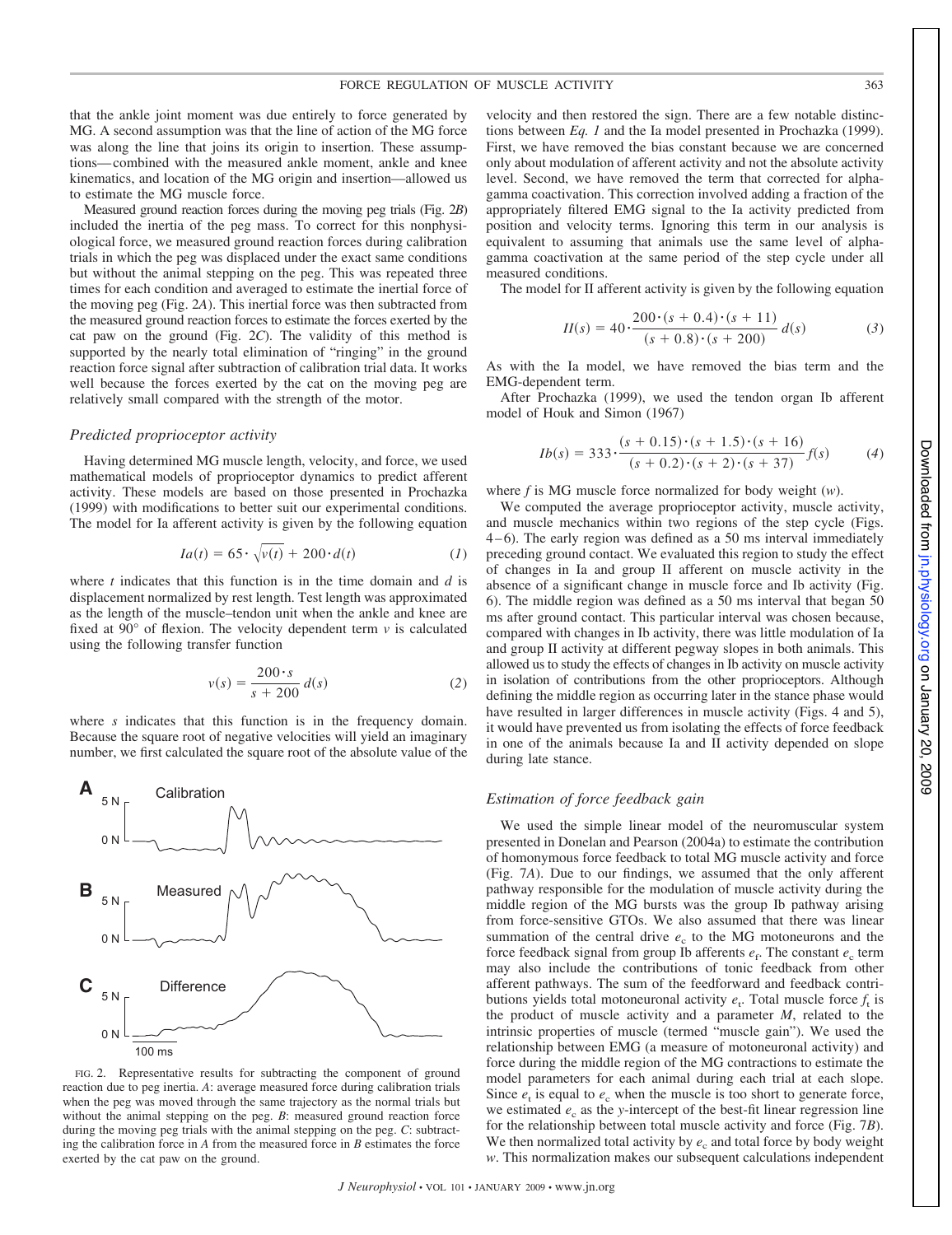that the ankle joint moment was due entirely to force generated by MG. A second assumption was that the line of action of the MG force was along the line that joins its origin to insertion. These assumptions— combined with the measured ankle moment, ankle and knee kinematics, and location of the MG origin and insertion—allowed us to estimate the MG muscle force.

Measured ground reaction forces during the moving peg trials (Fig. 2*B*) included the inertia of the peg mass. To correct for this nonphysiological force, we measured ground reaction forces during calibration trials in which the peg was displaced under the exact same conditions but without the animal stepping on the peg. This was repeated three times for each condition and averaged to estimate the inertial force of the moving peg (Fig. 2*A*). This inertial force was then subtracted from the measured ground reaction forces to estimate the forces exerted by the cat paw on the ground (Fig. 2*C*). The validity of this method is supported by the nearly total elimination of "ringing" in the ground reaction force signal after subtraction of calibration trial data. It works well because the forces exerted by the cat on the moving peg are relatively small compared with the strength of the motor.

#### *Predicted proprioceptor activity*

Having determined MG muscle length, velocity, and force, we used mathematical models of proprioceptor dynamics to predict afferent activity. These models are based on those presented in Prochazka (1999) with modifications to better suit our experimental conditions. The model for Ia afferent activity is given by the following equation

$$
Ia(t) = 65 \cdot \sqrt{v(t)} + 200 \cdot d(t) \tag{1}
$$

where *t* indicates that this function is in the time domain and *d* is displacement normalized by rest length. Test length was approximated as the length of the muscle–tendon unit when the ankle and knee are fixed at 90 $^{\circ}$  of flexion. The velocity dependent term  $\nu$  is calculated using the following transfer function

$$
v(s) = \frac{200 \cdot s}{s + 200} \, d(s) \tag{2}
$$

where *s* indicates that this function is in the frequency domain. Because the square root of negative velocities will yield an imaginary number, we first calculated the square root of the absolute value of the



FIG. 2. Representative results for subtracting the component of ground reaction due to peg inertia. *A*: average measured force during calibration trials when the peg was moved through the same trajectory as the normal trials but without the animal stepping on the peg. *B*: measured ground reaction force during the moving peg trials with the animal stepping on the peg. *C*: subtracting the calibration force in *A* from the measured force in *B* estimates the force exerted by the cat paw on the ground.

velocity and then restored the sign. There are a few notable distinctions between *Eq. 1* and the Ia model presented in Prochazka (1999). First, we have removed the bias constant because we are concerned only about modulation of afferent activity and not the absolute activity level. Second, we have removed the term that corrected for alphagamma coactivation. This correction involved adding a fraction of the appropriately filtered EMG signal to the Ia activity predicted from position and velocity terms. Ignoring this term in our analysis is equivalent to assuming that animals use the same level of alphagamma coactivation at the same period of the step cycle under all measured conditions.

The model for II afferent activity is given by the following equation

$$
II(s) = 40 \cdot \frac{200 \cdot (s + 0.4) \cdot (s + 11)}{(s + 0.8) \cdot (s + 200)} d(s)
$$
(3)

As with the Ia model, we have removed the bias term and the EMG-dependent term.

After Prochazka (1999), we used the tendon organ Ib afferent model of Houk and Simon (1967)

$$
Ib(s) = 333 \cdot \frac{(s+0.15) \cdot (s+1.5) \cdot (s+16)}{(s+0.2) \cdot (s+2) \cdot (s+37)} f(s) \tag{4}
$$

where *f* is MG muscle force normalized for body weight (*w*).

We computed the average proprioceptor activity, muscle activity, and muscle mechanics within two regions of the step cycle (Figs.  $4-6$ ). The early region was defined as a 50 ms interval immediately preceding ground contact. We evaluated this region to study the effect of changes in Ia and group II afferent on muscle activity in the absence of a significant change in muscle force and Ib activity (Fig. 6). The middle region was defined as a 50 ms interval that began 50 ms after ground contact. This particular interval was chosen because, compared with changes in Ib activity, there was little modulation of Ia and group II activity at different pegway slopes in both animals. This allowed us to study the effects of changes in Ib activity on muscle activity in isolation of contributions from the other proprioceptors. Although defining the middle region as occurring later in the stance phase would have resulted in larger differences in muscle activity (Figs. 4 and 5), it would have prevented us from isolating the effects of force feedback in one of the animals because Ia and II activity depended on slope during late stance.

# *Estimation of force feedback gain*

We used the simple linear model of the neuromuscular system presented in Donelan and Pearson (2004a) to estimate the contribution of homonymous force feedback to total MG muscle activity and force (Fig. 7*A*). Due to our findings, we assumed that the only afferent pathway responsible for the modulation of muscle activity during the middle region of the MG bursts was the group Ib pathway arising from force-sensitive GTOs. We also assumed that there was linear summation of the central drive  $e_c$  to the MG motoneurons and the force feedback signal from group Ib afferents  $e_f$ . The constant  $e_c$  term may also include the contributions of tonic feedback from other afferent pathways. The sum of the feedforward and feedback contributions yields total motoneuronal activity  $e_t$ . Total muscle force  $f_t$  is the product of muscle activity and a parameter *M*, related to the intrinsic properties of muscle (termed "muscle gain"). We used the relationship between EMG (a measure of motoneuronal activity) and force during the middle region of the MG contractions to estimate the model parameters for each animal during each trial at each slope. Since  $e_t$  is equal to  $e_c$  when the muscle is too short to generate force, we estimated  $e_c$  as the *y*-intercept of the best-fit linear regression line for the relationship between total muscle activity and force (Fig. 7*B*). We then normalized total activity by  $e_c$  and total force by body weight *w*. This normalization makes our subsequent calculations independent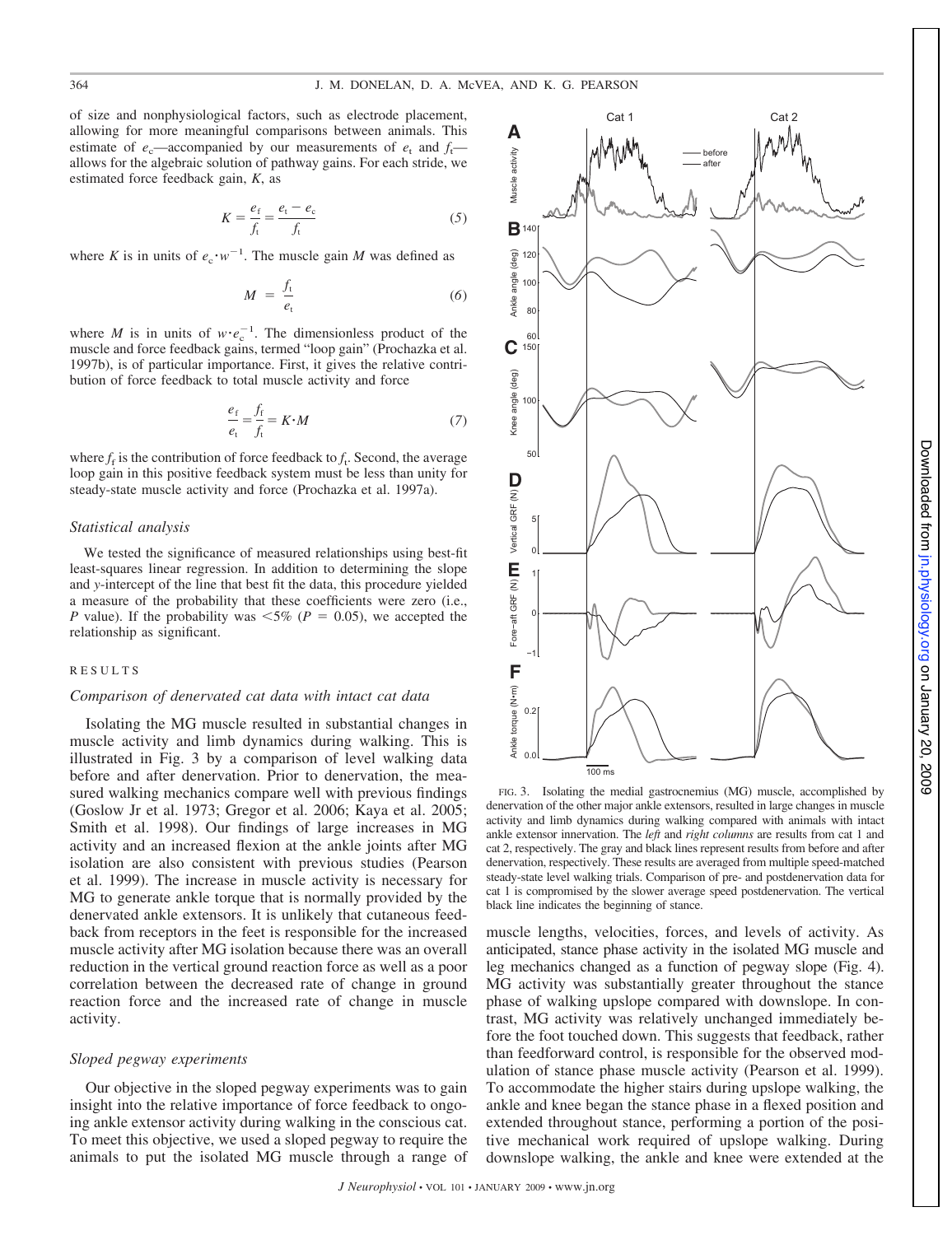of size and nonphysiological factors, such as electrode placement, allowing for more meaningful comparisons between animals. This estimate of  $e_c$ —accompanied by our measurements of  $e_t$  and  $f_t$  allows for the algebraic solution of pathway gains. For each stride, we estimated force feedback gain, *K*, as

$$
K = \frac{e_{\rm f}}{f_{\rm t}} = \frac{e_{\rm t} - e_{\rm c}}{f_{\rm t}}\tag{5}
$$

where *K* is in units of  $e_c \cdot w^{-1}$ . The muscle gain *M* was defined as

$$
M = \frac{f_{\rm t}}{e_{\rm t}} \tag{6}
$$

where *M* is in units of  $w \cdot e_c^{-1}$ . The dimensionless product of the muscle and force feedback gains, termed "loop gain" (Prochazka et al. 1997b), is of particular importance. First, it gives the relative contribution of force feedback to total muscle activity and force

$$
\frac{e_{\rm f}}{e_{\rm t}} = \frac{f_{\rm f}}{f_{\rm t}} = K \cdot M \tag{7}
$$

where  $f_f$  is the contribution of force feedback to  $f_t$ . Second, the average loop gain in this positive feedback system must be less than unity for steady-state muscle activity and force (Prochazka et al. 1997a).

#### *Statistical analysis*

We tested the significance of measured relationships using best-fit least-squares linear regression. In addition to determining the slope and *y*-intercept of the line that best fit the data, this procedure yielded a measure of the probability that these coefficients were zero (i.e., *P* value). If the probability was  $\leq 5\%$  (*P* = 0.05), we accepted the relationship as significant.

#### RESULTS

# *Comparison of denervated cat data with intact cat data*

Isolating the MG muscle resulted in substantial changes in muscle activity and limb dynamics during walking. This is illustrated in Fig. 3 by a comparison of level walking data before and after denervation. Prior to denervation, the measured walking mechanics compare well with previous findings (Goslow Jr et al. 1973; Gregor et al. 2006; Kaya et al. 2005; Smith et al. 1998). Our findings of large increases in MG activity and an increased flexion at the ankle joints after MG isolation are also consistent with previous studies (Pearson et al. 1999). The increase in muscle activity is necessary for MG to generate ankle torque that is normally provided by the denervated ankle extensors. It is unlikely that cutaneous feedback from receptors in the feet is responsible for the increased muscle activity after MG isolation because there was an overall reduction in the vertical ground reaction force as well as a poor correlation between the decreased rate of change in ground reaction force and the increased rate of change in muscle activity.

## *Sloped pegway experiments*

Our objective in the sloped pegway experiments was to gain insight into the relative importance of force feedback to ongoing ankle extensor activity during walking in the conscious cat. To meet this objective, we used a sloped pegway to require the animals to put the isolated MG muscle through a range of



FIG. 3. Isolating the medial gastrocnemius (MG) muscle, accomplished by denervation of the other major ankle extensors, resulted in large changes in muscle activity and limb dynamics during walking compared with animals with intact ankle extensor innervation. The *left* and *right columns* are results from cat 1 and cat 2, respectively. The gray and black lines represent results from before and after denervation, respectively. These results are averaged from multiple speed-matched steady-state level walking trials. Comparison of pre- and postdenervation data for cat 1 is compromised by the slower average speed postdenervation. The vertical black line indicates the beginning of stance.

muscle lengths, velocities, forces, and levels of activity. As anticipated, stance phase activity in the isolated MG muscle and leg mechanics changed as a function of pegway slope (Fig. 4). MG activity was substantially greater throughout the stance phase of walking upslope compared with downslope. In contrast, MG activity was relatively unchanged immediately before the foot touched down. This suggests that feedback, rather than feedforward control, is responsible for the observed modulation of stance phase muscle activity (Pearson et al. 1999). To accommodate the higher stairs during upslope walking, the ankle and knee began the stance phase in a flexed position and extended throughout stance, performing a portion of the positive mechanical work required of upslope walking. During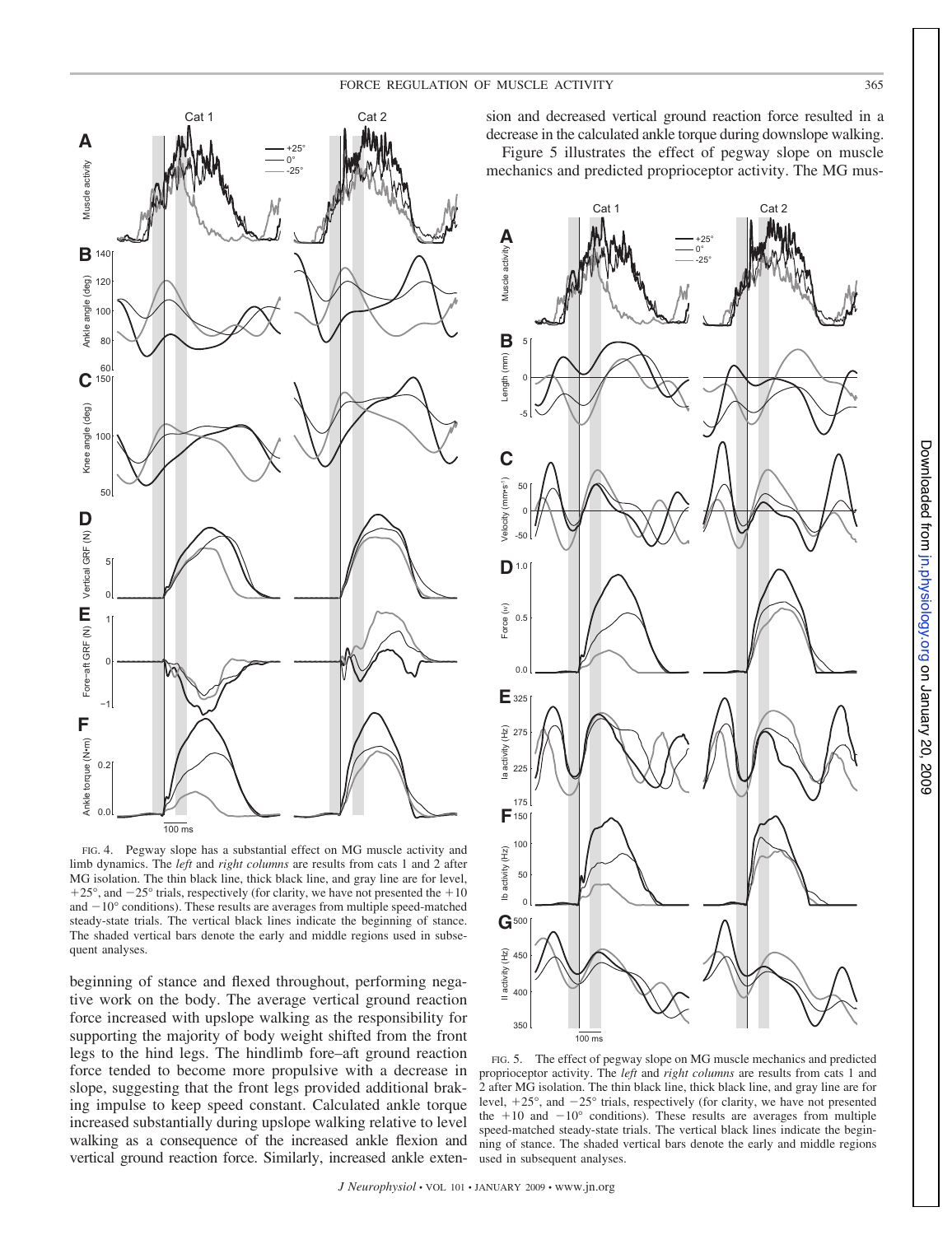

FIG. 4. Pegway slope has a substantial effect on MG muscle activity and limb dynamics. The *left* and *right columns* are results from cats 1 and 2 after MG isolation. The thin black line, thick black line, and gray line are for level,  $+25^{\circ}$ , and  $-25^{\circ}$  trials, respectively (for clarity, we have not presented the  $+10$ and  $-10^{\circ}$  conditions). These results are averages from multiple speed-matched steady-state trials. The vertical black lines indicate the beginning of stance. The shaded vertical bars denote the early and middle regions used in subsequent analyses.

beginning of stance and flexed throughout, performing negative work on the body. The average vertical ground reaction force increased with upslope walking as the responsibility for supporting the majority of body weight shifted from the front legs to the hind legs. The hindlimb fore–aft ground reaction force tended to become more propulsive with a decrease in slope, suggesting that the front legs provided additional braking impulse to keep speed constant. Calculated ankle torque increased substantially during upslope walking relative to level walking as a consequence of the increased ankle flexion and vertical ground reaction force. Similarly, increased ankle extension and decreased vertical ground reaction force resulted in a decrease in the calculated ankle torque during downslope walking.

Figure 5 illustrates the effect of pegway slope on muscle mechanics and predicted proprioceptor activity. The MG mus-



FIG. 5. The effect of pegway slope on MG muscle mechanics and predicted proprioceptor activity. The *left* and *right columns* are results from cats 1 and 2 after MG isolation. The thin black line, thick black line, and gray line are for level,  $+25^{\circ}$ , and  $-25^{\circ}$  trials, respectively (for clarity, we have not presented the  $+10$  and  $-10^{\circ}$  conditions). These results are averages from multiple speed-matched steady-state trials. The vertical black lines indicate the beginning of stance. The shaded vertical bars denote the early and middle regions used in subsequent analyses.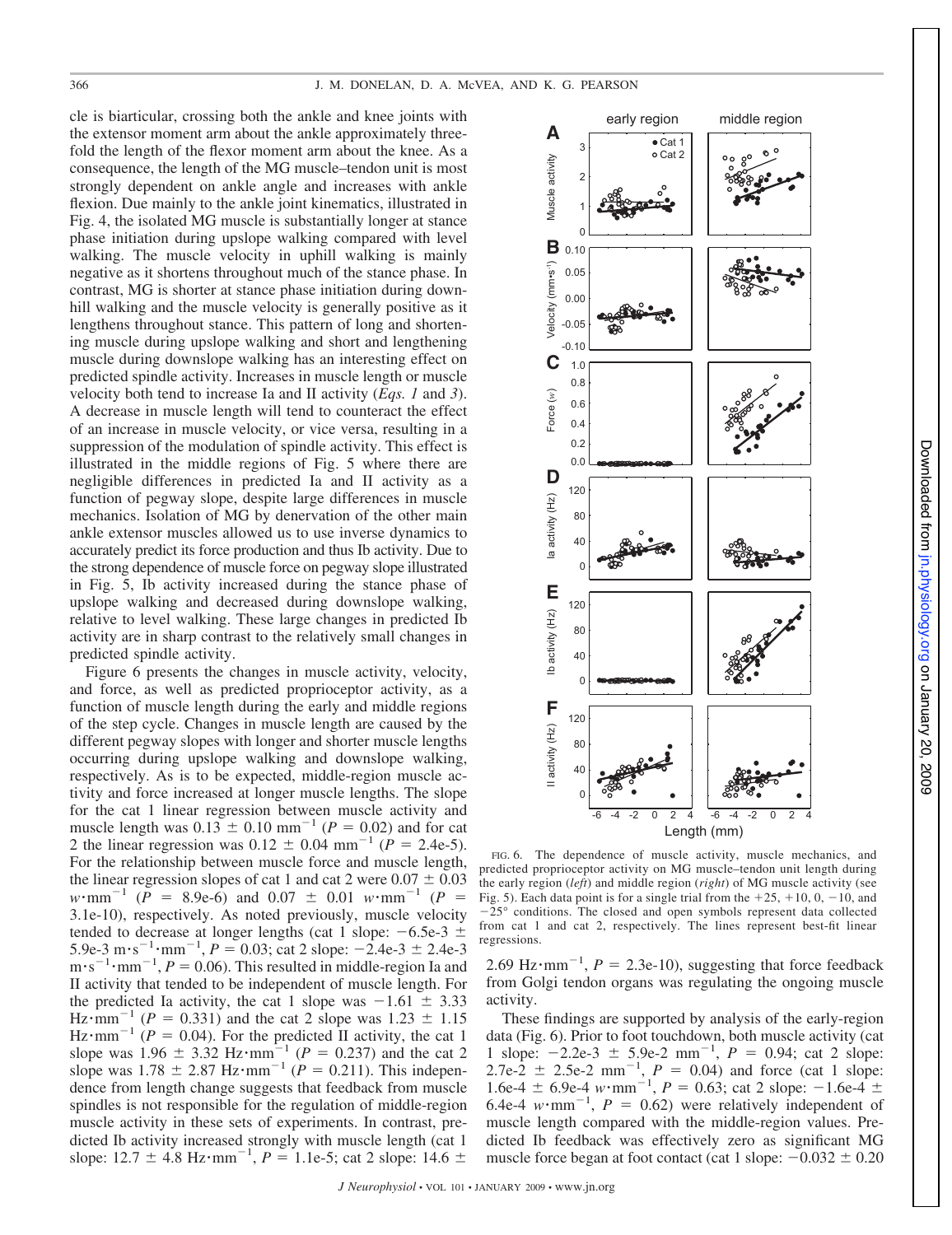cle is biarticular, crossing both the ankle and knee joints with the extensor moment arm about the ankle approximately threefold the length of the flexor moment arm about the knee. As a consequence, the length of the MG muscle–tendon unit is most strongly dependent on ankle angle and increases with ankle flexion. Due mainly to the ankle joint kinematics, illustrated in Fig. 4, the isolated MG muscle is substantially longer at stance phase initiation during upslope walking compared with level walking. The muscle velocity in uphill walking is mainly negative as it shortens throughout much of the stance phase. In contrast, MG is shorter at stance phase initiation during downhill walking and the muscle velocity is generally positive as it lengthens throughout stance. This pattern of long and shortening muscle during upslope walking and short and lengthening muscle during downslope walking has an interesting effect on predicted spindle activity. Increases in muscle length or muscle velocity both tend to increase Ia and II activity (*Eqs. 1* and *3*). A decrease in muscle length will tend to counteract the effect of an increase in muscle velocity, or vice versa, resulting in a suppression of the modulation of spindle activity. This effect is illustrated in the middle regions of Fig. 5 where there are negligible differences in predicted Ia and II activity as a function of pegway slope, despite large differences in muscle mechanics. Isolation of MG by denervation of the other main ankle extensor muscles allowed us to use inverse dynamics to accurately predict its force production and thus Ib activity. Due to the strong dependence of muscle force on pegway slope illustrated in Fig. 5, Ib activity increased during the stance phase of upslope walking and decreased during downslope walking, relative to level walking. These large changes in predicted Ib activity are in sharp contrast to the relatively small changes in predicted spindle activity.

Figure 6 presents the changes in muscle activity, velocity, and force, as well as predicted proprioceptor activity, as a function of muscle length during the early and middle regions of the step cycle. Changes in muscle length are caused by the different pegway slopes with longer and shorter muscle lengths occurring during upslope walking and downslope walking, respectively. As is to be expected, middle-region muscle activity and force increased at longer muscle lengths. The slope for the cat 1 linear regression between muscle activity and muscle length was  $0.13 \pm 0.10$  mm<sup>-1</sup> ( $P = 0.02$ ) and for cat 2 the linear regression was  $0.12 \pm 0.04$  mm<sup>-1</sup> ( $P = 2.4$ e-5). For the relationship between muscle force and muscle length, the linear regression slopes of cat 1 and cat 2 were  $0.07 \pm 0.03$  $w \cdot$ mm<sup>-1</sup> ( $\overline{P}$  = 8.9e-6) and 0.07  $\pm$  0.01  $w \cdot$ mm<sup>-1</sup> ( $P$  = 3.1e-10), respectively. As noted previously, muscle velocity tended to decrease at longer lengths (cat 1 slope:  $-6.5e-3 \pm$ 5.9e-3 m·s<sup>-1</sup>·mm<sup>-1</sup>,  $P = 0.03$ ; cat 2 slope:  $-2.4e-3 \pm 2.4e-3$  $m \cdot s^{-1} \cdot mm^{-1}$ ,  $P = 0.06$ ). This resulted in middle-region Ia and II activity that tended to be independent of muscle length. For the predicted Ia activity, the cat 1 slope was  $-1.61 \pm 3.33$ Hz $\cdot$ mm<sup>-1</sup> (*P* = 0.331) and the cat 2 slope was 1.23  $\pm$  1.15  $\text{Hz} \cdot \text{mm}^{-1}$  ( $P = 0.04$ ). For the predicted II activity, the cat 1 slope was  $1.96 \pm 3.32$  Hz $\cdot$ mm<sup>-1</sup> (*P* = 0.237) and the cat 2 slope was  $1.78 \pm 2.87$  Hz $\cdot$ mm<sup>-1</sup> ( $P = 0.211$ ). This independence from length change suggests that feedback from muscle spindles is not responsible for the regulation of middle-region muscle activity in these sets of experiments. In contrast, predicted Ib activity increased strongly with muscle length (cat 1 slope:  $12.7 \pm 4.8$  Hz $\cdot$ mm<sup>-1</sup>,  $P = 1.1$ e-5; cat 2 slope:  $14.6 \pm$ 



FIG. 6. The dependence of muscle activity, muscle mechanics, and predicted proprioceptor activity on MG muscle–tendon unit length during the early region (*left*) and middle region (*right*) of MG muscle activity (see Fig. 5). Each data point is for a single trial from the  $+25, +10, 0, -10$ , and  $-25^{\circ}$  conditions. The closed and open symbols represent data collected from cat 1 and cat 2, respectively. The lines represent best-fit linear regressions.

2.69 Hz $\cdot$ mm<sup>-1</sup>,  $P = 2.3e$ -10), suggesting that force feedback from Golgi tendon organs was regulating the ongoing muscle activity.

These findings are supported by analysis of the early-region data (Fig. 6). Prior to foot touchdown, both muscle activity (cat 1 slope:  $-2.2e-3 \pm 5.9e-2 \text{ mm}^{-1}$ ,  $P = 0.94$ ; cat 2 slope:  $2.7e^{-\frac{1}{2}} \pm 2.5e^{-\frac{1}{2}} \text{ mm}^{-1}$ ,  $P = 0.04$ ) and force (cat 1 slope: 1.6e-4  $\pm$  6.9e-4 *w* · mm<sup>-1</sup>, *P* = 0.63; cat 2 slope: -1.6e-4  $\pm$ 6.4e-4  $w \cdot \text{mm}^{-1}$ ,  $P = 0.62$ ) were relatively independent of muscle length compared with the middle-region values. Predicted Ib feedback was effectively zero as significant MG muscle force began at foot contact (cat 1 slope:  $-0.032 \pm 0.20$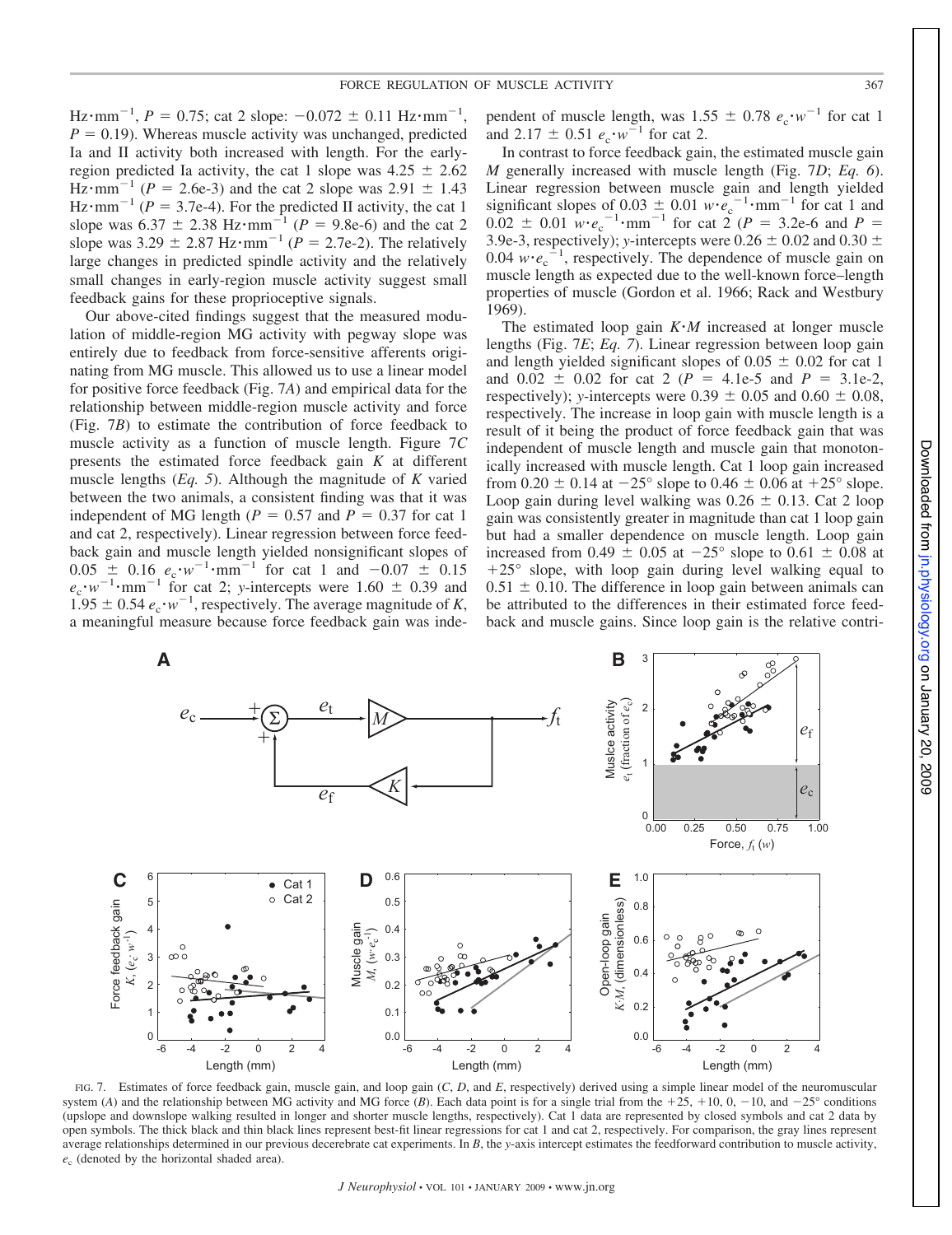Hz $\cdot$ mm<sup>-1</sup>, *P* = 0.75; cat 2 slope:  $-0.072 \pm 0.11$  Hz $\cdot$ mm<sup>-1</sup>,  $P = 0.19$ ). Whereas muscle activity was unchanged, predicted Ia and II activity both increased with length. For the earlyregion predicted Ia activity, the cat 1 slope was  $4.25 \pm 2.62$  $\text{Hz} \cdot \text{mm}^{-1}$  (*P* = 2.6e-3) and the cat 2 slope was 2.91  $\pm$  1.43 Hz $\cdot$ mm<sup>-1</sup> (*P* = 3.7e-4). For the predicted II activity, the cat 1 slope was  $6.37 \pm 2.38$  Hz $\cdot$ mm<sup>-1</sup> (*P* = 9.8e-6) and the cat 2 slope was  $3.29 \pm 2.87$  Hz $\cdot$ mm<sup>-1</sup> ( $P = 2.7e$ -2). The relatively large changes in predicted spindle activity and the relatively small changes in early-region muscle activity suggest small feedback gains for these proprioceptive signals.

Our above-cited findings suggest that the measured modulation of middle-region MG activity with pegway slope was entirely due to feedback from force-sensitive afferents originating from MG muscle. This allowed us to use a linear model for positive force feedback (Fig. 7*A*) and empirical data for the relationship between middle-region muscle activity and force (Fig. 7*B*) to estimate the contribution of force feedback to muscle activity as a function of muscle length. Figure 7*C* presents the estimated force feedback gain *K* at different muscle lengths (*Eq. 5*). Although the magnitude of *K* varied between the two animals, a consistent finding was that it was independent of MG length ( $P = 0.57$  and  $P = 0.37$  for cat 1 and cat 2, respectively). Linear regression between force feedback gain and muscle length yielded nonsignificant slopes of  $0.05 \pm 0.16$   $e_c$   $w^{-1}$  mm<sup>-1</sup> for cat 1 and  $-0.07 \pm 0.15$  $e_c \cdot w^{-1} \cdot mm^{-1}$  for cat 2; *y*-intercepts were 1.60  $\pm$  0.39 and  $1.95 \pm 0.54$   $e_c$ · $w^{-1}$ , respectively. The average magnitude of *K*, a meaningful measure because force feedback gain was independent of muscle length, was  $1.55 \pm 0.78 e_c \cdot w^{-1}$  for cat 1 and 2.17  $\pm$  0.51  $e_c \cdot w^{-1}$  for cat 2.

In contrast to force feedback gain, the estimated muscle gain *M* generally increased with muscle length (Fig. 7*D*; *Eq. 6*). Linear regression between muscle gain and length yielded significant slopes of  $0.03 \pm 0.01$   $w \cdot e^{-1}$  mm<sup>-1</sup> for cat 1 and  $0.02 \pm 0.01 \text{ w} \cdot e_c^{-1} \cdot \text{mm}^{-1}$  for cat 2 (*P* = 3.2e-6 and *P* = 3.9e-3, respectively); *y*-intercepts were  $0.26 \pm 0.02$  and  $0.30 \pm 0.02$ 0.04  $w \cdot e_c^{-1}$ , respectively. The dependence of muscle gain on muscle length as expected due to the well-known force–length properties of muscle (Gordon et al. 1966; Rack and Westbury 1969).

The estimated loop gain  $K \cdot M$  increased at longer muscle lengths (Fig. 7*E*; *Eq. 7*). Linear regression between loop gain and length yielded significant slopes of  $0.05 \pm 0.02$  for cat 1 and  $0.02 \pm 0.02$  for cat 2 (*P* = 4.1e-5 and *P* = 3.1e-2, respectively); *y*-intercepts were  $0.39 \pm 0.05$  and  $0.60 \pm 0.08$ , respectively. The increase in loop gain with muscle length is a result of it being the product of force feedback gain that was independent of muscle length and muscle gain that monotonically increased with muscle length. Cat 1 loop gain increased from  $0.20 \pm 0.14$  at  $-25^{\circ}$  slope to  $0.46 \pm 0.06$  at  $+25^{\circ}$  slope. Loop gain during level walking was  $0.26 \pm 0.13$ . Cat 2 loop gain was consistently greater in magnitude than cat 1 loop gain but had a smaller dependence on muscle length. Loop gain increased from 0.49  $\pm$  0.05 at  $-25^{\circ}$  slope to 0.61  $\pm$  0.08 at  $+25^{\circ}$  slope, with loop gain during level walking equal to  $0.51 \pm 0.10$ . The difference in loop gain between animals can be attributed to the differences in their estimated force feedback and muscle gains. Since loop gain is the relative contri-



FIG. 7. Estimates of force feedback gain, muscle gain, and loop gain (*C*, *D*, and *E*, respectively) derived using a simple linear model of the neuromuscular system (*A*) and the relationship between MG activity and MG force (*B*). Each data point is for a single trial from the  $+25$ ,  $+10$ , 0,  $-10$ , and  $-25^\circ$  conditions (upslope and downslope walking resulted in longer and shorter muscle lengths, respectively). Cat 1 data are represented by closed symbols and cat 2 data by open symbols. The thick black and thin black lines represent best-fit linear regressions for cat 1 and cat 2, respectively. For comparison, the gray lines represent average relationships determined in our previous decerebrate cat experiments. In *B*, the *y*-axis intercept estimates the feedforward contribution to muscle activity, *e<sub>c</sub>* (denoted by the horizontal shaded area).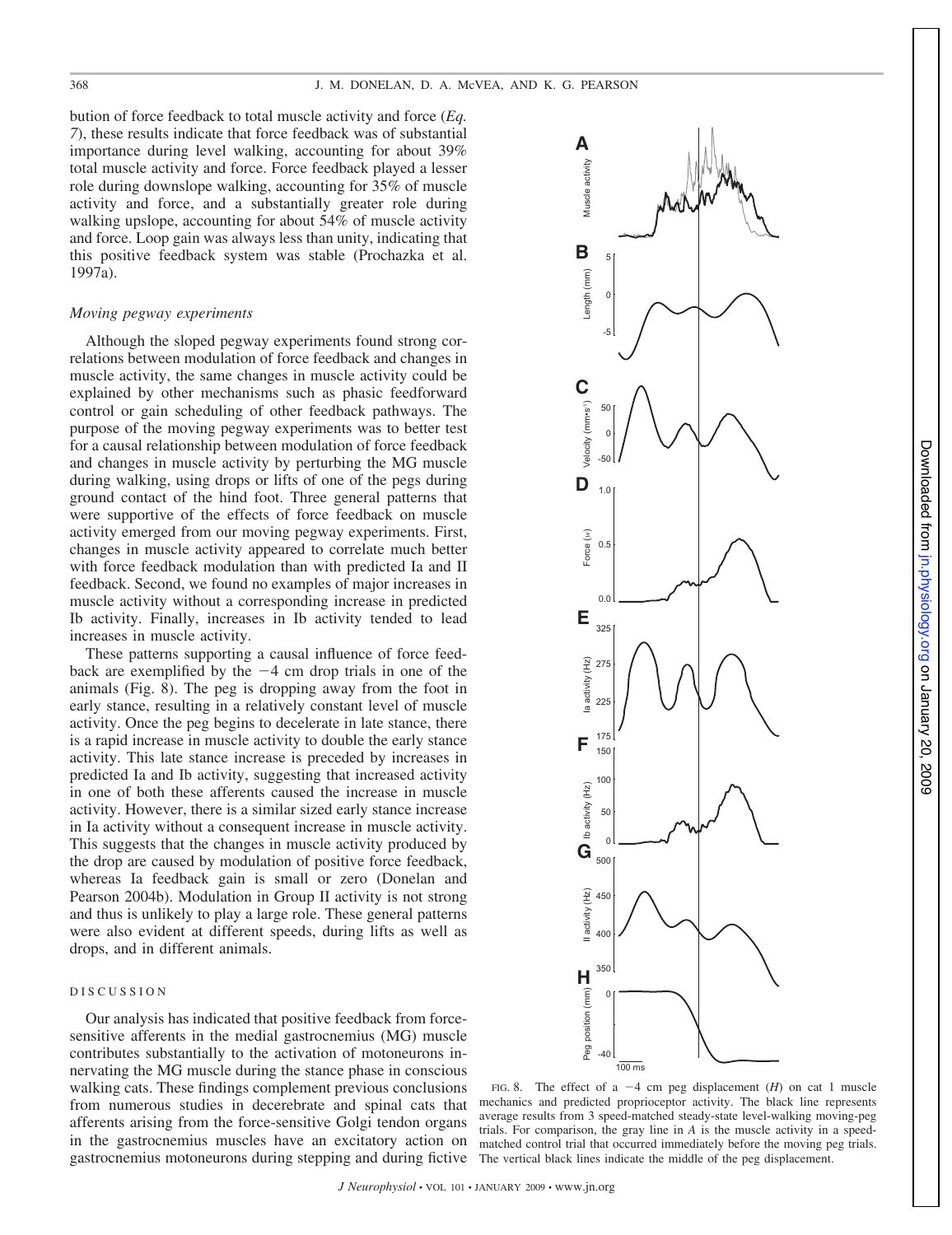bution of force feedback to total muscle activity and force (*Eq. 7*), these results indicate that force feedback was of substantial importance during level walking, accounting for about 39% total muscle activity and force. Force feedback played a lesser role during downslope walking, accounting for 35% of muscle activity and force, and a substantially greater role during walking upslope, accounting for about 54% of muscle activity and force. Loop gain was always less than unity, indicating that this positive feedback system was stable (Prochazka et al. 1997a).

#### *Moving pegway experiments*

Although the sloped pegway experiments found strong correlations between modulation of force feedback and changes in muscle activity, the same changes in muscle activity could be explained by other mechanisms such as phasic feedforward control or gain scheduling of other feedback pathways. The purpose of the moving pegway experiments was to better test for a causal relationship between modulation of force feedback and changes in muscle activity by perturbing the MG muscle during walking, using drops or lifts of one of the pegs during ground contact of the hind foot. Three general patterns that were supportive of the effects of force feedback on muscle activity emerged from our moving pegway experiments. First, changes in muscle activity appeared to correlate much better with force feedback modulation than with predicted Ia and II feedback. Second, we found no examples of major increases in muscle activity without a corresponding increase in predicted Ib activity. Finally, increases in Ib activity tended to lead increases in muscle activity.

These patterns supporting a causal influence of force feedback are exemplified by the  $-4$  cm drop trials in one of the animals (Fig. 8). The peg is dropping away from the foot in early stance, resulting in a relatively constant level of muscle activity. Once the peg begins to decelerate in late stance, there is a rapid increase in muscle activity to double the early stance activity. This late stance increase is preceded by increases in predicted Ia and Ib activity, suggesting that increased activity in one of both these afferents caused the increase in muscle activity. However, there is a similar sized early stance increase in Ia activity without a consequent increase in muscle activity. This suggests that the changes in muscle activity produced by the drop are caused by modulation of positive force feedback, whereas Ia feedback gain is small or zero (Donelan and Pearson 2004b). Modulation in Group II activity is not strong and thus is unlikely to play a large role. These general patterns were also evident at different speeds, during lifts as well as drops, and in different animals.

# DISCUSSION

Our analysis has indicated that positive feedback from forcesensitive afferents in the medial gastrocnemius (MG) muscle contributes substantially to the activation of motoneurons innervating the MG muscle during the stance phase in conscious walking cats. These findings complement previous conclusions from numerous studies in decerebrate and spinal cats that afferents arising from the force-sensitive Golgi tendon organs in the gastrocnemius muscles have an excitatory action on gastrocnemius motoneurons during stepping and during fictive The vertical black lines indicate the middle of the peg displacement.



FIG. 8. The effect of a  $-4$  cm peg displacement (*H*) on cat 1 muscle mechanics and predicted proprioceptor activity. The black line represents average results from 3 speed-matched steady-state level-walking moving-peg trials. For comparison, the gray line in *A* is the muscle activity in a speedmatched control trial that occurred immediately before the moving peg trials.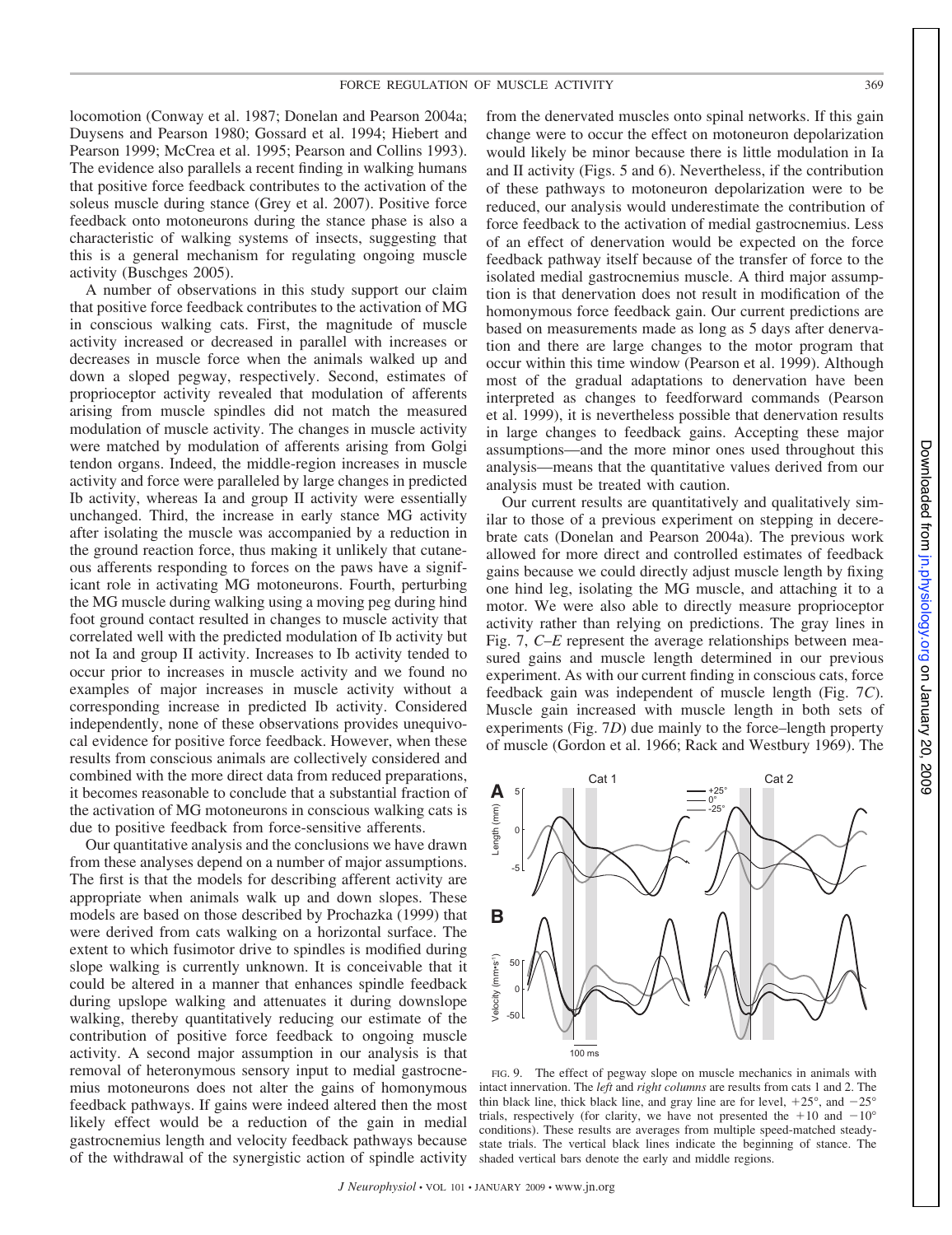locomotion (Conway et al. 1987; Donelan and Pearson 2004a; Duysens and Pearson 1980; Gossard et al. 1994; Hiebert and Pearson 1999; McCrea et al. 1995; Pearson and Collins 1993). The evidence also parallels a recent finding in walking humans that positive force feedback contributes to the activation of the soleus muscle during stance (Grey et al. 2007). Positive force feedback onto motoneurons during the stance phase is also a characteristic of walking systems of insects, suggesting that this is a general mechanism for regulating ongoing muscle activity (Buschges 2005).

A number of observations in this study support our claim that positive force feedback contributes to the activation of MG in conscious walking cats. First, the magnitude of muscle activity increased or decreased in parallel with increases or decreases in muscle force when the animals walked up and down a sloped pegway, respectively. Second, estimates of proprioceptor activity revealed that modulation of afferents arising from muscle spindles did not match the measured modulation of muscle activity. The changes in muscle activity were matched by modulation of afferents arising from Golgi tendon organs. Indeed, the middle-region increases in muscle activity and force were paralleled by large changes in predicted Ib activity, whereas Ia and group II activity were essentially unchanged. Third, the increase in early stance MG activity after isolating the muscle was accompanied by a reduction in the ground reaction force, thus making it unlikely that cutaneous afferents responding to forces on the paws have a significant role in activating MG motoneurons. Fourth, perturbing the MG muscle during walking using a moving peg during hind foot ground contact resulted in changes to muscle activity that correlated well with the predicted modulation of Ib activity but not Ia and group II activity. Increases to Ib activity tended to occur prior to increases in muscle activity and we found no examples of major increases in muscle activity without a corresponding increase in predicted Ib activity. Considered independently, none of these observations provides unequivocal evidence for positive force feedback. However, when these results from conscious animals are collectively considered and combined with the more direct data from reduced preparations, it becomes reasonable to conclude that a substantial fraction of the activation of MG motoneurons in conscious walking cats is due to positive feedback from force-sensitive afferents.

Our quantitative analysis and the conclusions we have drawn from these analyses depend on a number of major assumptions. The first is that the models for describing afferent activity are appropriate when animals walk up and down slopes. These models are based on those described by Prochazka (1999) that were derived from cats walking on a horizontal surface. The extent to which fusimotor drive to spindles is modified during slope walking is currently unknown. It is conceivable that it could be altered in a manner that enhances spindle feedback during upslope walking and attenuates it during downslope walking, thereby quantitatively reducing our estimate of the contribution of positive force feedback to ongoing muscle activity. A second major assumption in our analysis is that removal of heteronymous sensory input to medial gastrocnemius motoneurons does not alter the gains of homonymous feedback pathways. If gains were indeed altered then the most likely effect would be a reduction of the gain in medial gastrocnemius length and velocity feedback pathways because of the withdrawal of the synergistic action of spindle activity

from the denervated muscles onto spinal networks. If this gain change were to occur the effect on motoneuron depolarization would likely be minor because there is little modulation in Ia and II activity (Figs. 5 and 6). Nevertheless, if the contribution of these pathways to motoneuron depolarization were to be reduced, our analysis would underestimate the contribution of force feedback to the activation of medial gastrocnemius. Less of an effect of denervation would be expected on the force feedback pathway itself because of the transfer of force to the isolated medial gastrocnemius muscle. A third major assumption is that denervation does not result in modification of the homonymous force feedback gain. Our current predictions are based on measurements made as long as 5 days after denervation and there are large changes to the motor program that occur within this time window (Pearson et al. 1999). Although most of the gradual adaptations to denervation have been interpreted as changes to feedforward commands (Pearson et al. 1999), it is nevertheless possible that denervation results in large changes to feedback gains. Accepting these major assumptions—and the more minor ones used throughout this analysis—means that the quantitative values derived from our analysis must be treated with caution.

Our current results are quantitatively and qualitatively similar to those of a previous experiment on stepping in decerebrate cats (Donelan and Pearson 2004a). The previous work allowed for more direct and controlled estimates of feedback gains because we could directly adjust muscle length by fixing one hind leg, isolating the MG muscle, and attaching it to a motor. We were also able to directly measure proprioceptor activity rather than relying on predictions. The gray lines in Fig. 7, *C*–*E* represent the average relationships between measured gains and muscle length determined in our previous experiment. As with our current finding in conscious cats, force feedback gain was independent of muscle length (Fig. 7*C*). Muscle gain increased with muscle length in both sets of experiments (Fig. 7*D*) due mainly to the force–length property of muscle (Gordon et al. 1966; Rack and Westbury 1969). The



FIG. 9. The effect of pegway slope on muscle mechanics in animals with intact innervation. The *left* and *right columns* are results from cats 1 and 2. The thin black line, thick black line, and gray line are for level,  $+25^{\circ}$ , and  $-25^{\circ}$ trials, respectively (for clarity, we have not presented the  $+10$  and  $-10^{\circ}$ conditions). These results are averages from multiple speed-matched steadystate trials. The vertical black lines indicate the beginning of stance. The shaded vertical bars denote the early and middle regions.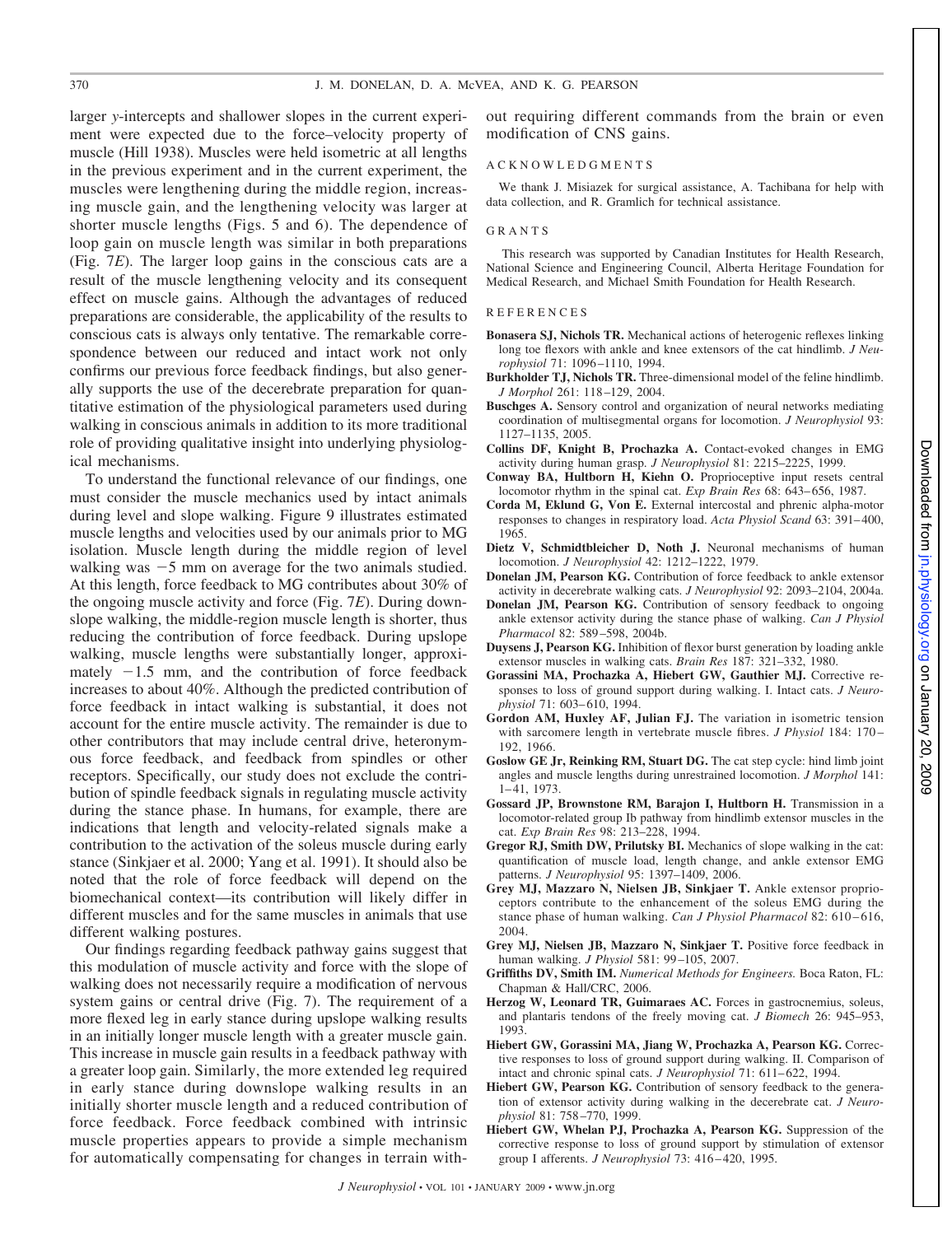larger *y*-intercepts and shallower slopes in the current experiment were expected due to the force–velocity property of muscle (Hill 1938). Muscles were held isometric at all lengths in the previous experiment and in the current experiment, the muscles were lengthening during the middle region, increasing muscle gain, and the lengthening velocity was larger at shorter muscle lengths (Figs. 5 and 6). The dependence of loop gain on muscle length was similar in both preparations (Fig. 7*E*). The larger loop gains in the conscious cats are a result of the muscle lengthening velocity and its consequent effect on muscle gains. Although the advantages of reduced preparations are considerable, the applicability of the results to conscious cats is always only tentative. The remarkable correspondence between our reduced and intact work not only confirms our previous force feedback findings, but also generally supports the use of the decerebrate preparation for quantitative estimation of the physiological parameters used during walking in conscious animals in addition to its more traditional role of providing qualitative insight into underlying physiological mechanisms.

To understand the functional relevance of our findings, one must consider the muscle mechanics used by intact animals during level and slope walking. Figure 9 illustrates estimated muscle lengths and velocities used by our animals prior to MG isolation. Muscle length during the middle region of level walking was  $-5$  mm on average for the two animals studied. At this length, force feedback to MG contributes about 30% of the ongoing muscle activity and force (Fig. 7*E*). During downslope walking, the middle-region muscle length is shorter, thus reducing the contribution of force feedback. During upslope walking, muscle lengths were substantially longer, approximately  $-1.5$  mm, and the contribution of force feedback increases to about 40%. Although the predicted contribution of force feedback in intact walking is substantial, it does not account for the entire muscle activity. The remainder is due to other contributors that may include central drive, heteronymous force feedback, and feedback from spindles or other receptors. Specifically, our study does not exclude the contribution of spindle feedback signals in regulating muscle activity during the stance phase. In humans, for example, there are indications that length and velocity-related signals make a contribution to the activation of the soleus muscle during early stance (Sinkjaer et al. 2000; Yang et al. 1991). It should also be noted that the role of force feedback will depend on the biomechanical context—its contribution will likely differ in different muscles and for the same muscles in animals that use different walking postures.

Our findings regarding feedback pathway gains suggest that this modulation of muscle activity and force with the slope of walking does not necessarily require a modification of nervous system gains or central drive (Fig. 7). The requirement of a more flexed leg in early stance during upslope walking results in an initially longer muscle length with a greater muscle gain. This increase in muscle gain results in a feedback pathway with a greater loop gain. Similarly, the more extended leg required in early stance during downslope walking results in an initially shorter muscle length and a reduced contribution of force feedback. Force feedback combined with intrinsic muscle properties appears to provide a simple mechanism for automatically compensating for changes in terrain without requiring different commands from the brain or even modification of CNS gains.

#### ACKNOWLEDGMENTS

We thank J. Misiazek for surgical assistance, A. Tachibana for help with data collection, and R. Gramlich for technical assistance.

#### GRANTS

This research was supported by Canadian Institutes for Health Research, National Science and Engineering Council, Alberta Heritage Foundation for Medical Research, and Michael Smith Foundation for Health Research.

#### REFERENCES

- **Bonasera SJ, Nichols TR.** Mechanical actions of heterogenic reflexes linking long toe flexors with ankle and knee extensors of the cat hindlimb. *J Neurophysiol* 71: 1096 –1110, 1994.
- **Burkholder TJ, Nichols TR.** Three-dimensional model of the feline hindlimb. *J Morphol* 261: 118 –129, 2004.
- **Buschges A.** Sensory control and organization of neural networks mediating coordination of multisegmental organs for locomotion. *J Neurophysiol* 93: 1127–1135, 2005.
- **Collins DF, Knight B, Prochazka A.** Contact-evoked changes in EMG activity during human grasp. *J Neurophysiol* 81: 2215–2225, 1999.
- **Conway BA, Hultborn H, Kiehn O.** Proprioceptive input resets central locomotor rhythm in the spinal cat. *Exp Brain Res* 68: 643–656, 1987.
- **Corda M, Eklund G, Von E.** External intercostal and phrenic alpha-motor responses to changes in respiratory load. *Acta Physiol Scand* 63: 391– 400, 1965.
- **Dietz V, Schmidtbleicher D, Noth J.** Neuronal mechanisms of human locomotion. *J Neurophysiol* 42: 1212–1222, 1979.
- **Donelan JM, Pearson KG.** Contribution of force feedback to ankle extensor activity in decerebrate walking cats. *J Neurophysiol* 92: 2093–2104, 2004a.
- **Donelan JM, Pearson KG.** Contribution of sensory feedback to ongoing ankle extensor activity during the stance phase of walking. *Can J Physiol Pharmacol* 82: 589 –598, 2004b.
- **Duysens J, Pearson KG.** Inhibition of flexor burst generation by loading ankle extensor muscles in walking cats. *Brain Res* 187: 321–332, 1980.
- **Gorassini MA, Prochazka A, Hiebert GW, Gauthier MJ.** Corrective responses to loss of ground support during walking. I. Intact cats. *J Neurophysiol* 71: 603– 610, 1994.
- **Gordon AM, Huxley AF, Julian FJ.** The variation in isometric tension with sarcomere length in vertebrate muscle fibres. *J Physiol* 184: 170 – 192, 1966.
- **Goslow GE Jr, Reinking RM, Stuart DG.** The cat step cycle: hind limb joint angles and muscle lengths during unrestrained locomotion. *J Morphol* 141: 1– 41, 1973.
- **Gossard JP, Brownstone RM, Barajon I, Hultborn H.** Transmission in a locomotor-related group Ib pathway from hindlimb extensor muscles in the cat. *Exp Brain Res* 98: 213–228, 1994.
- **Gregor RJ, Smith DW, Prilutsky BI.** Mechanics of slope walking in the cat: quantification of muscle load, length change, and ankle extensor EMG patterns. *J Neurophysiol* 95: 1397–1409, 2006.
- **Grey MJ, Mazzaro N, Nielsen JB, Sinkjaer T.** Ankle extensor proprioceptors contribute to the enhancement of the soleus EMG during the stance phase of human walking. *Can J Physiol Pharmacol* 82: 610-616, 2004.
- **Grey MJ, Nielsen JB, Mazzaro N, Sinkjaer T.** Positive force feedback in human walking. *J Physiol* 581: 99 –105, 2007.
- **Griffiths DV, Smith IM.** *Numerical Methods for Engineers.* Boca Raton, FL: Chapman & Hall/CRC, 2006.
- **Herzog W, Leonard TR, Guimaraes AC.** Forces in gastrocnemius, soleus, and plantaris tendons of the freely moving cat. *J Biomech* 26: 945–953, 1993.
- **Hiebert GW, Gorassini MA, Jiang W, Prochazka A, Pearson KG.** Corrective responses to loss of ground support during walking. II. Comparison of intact and chronic spinal cats. *J Neurophysiol* 71: 611-622, 1994.
- **Hiebert GW, Pearson KG.** Contribution of sensory feedback to the generation of extensor activity during walking in the decerebrate cat. *J Neurophysiol* 81: 758 –770, 1999.
- **Hiebert GW, Whelan PJ, Prochazka A, Pearson KG.** Suppression of the corrective response to loss of ground support by stimulation of extensor group I afferents. *J Neurophysiol* 73: 416 – 420, 1995.